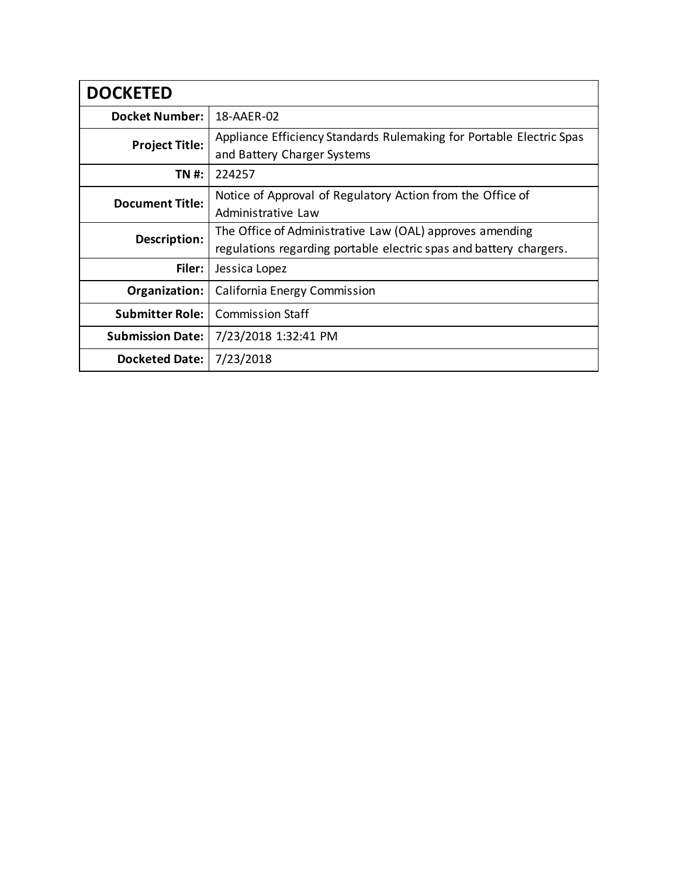| <b>DOCKETED</b>         |                                                                                                                                |
|-------------------------|--------------------------------------------------------------------------------------------------------------------------------|
| <b>Docket Number:</b>   | 18-AAER-02                                                                                                                     |
| <b>Project Title:</b>   | Appliance Efficiency Standards Rulemaking for Portable Electric Spas<br>and Battery Charger Systems                            |
| <b>TN #:</b>            | 224257                                                                                                                         |
| <b>Document Title:</b>  | Notice of Approval of Regulatory Action from the Office of<br>Administrative Law                                               |
| Description:            | The Office of Administrative Law (OAL) approves amending<br>regulations regarding portable electric spas and battery chargers. |
| Filer:                  | Jessica Lopez                                                                                                                  |
| Organization:           | California Energy Commission                                                                                                   |
| <b>Submitter Role:</b>  | <b>Commission Staff</b>                                                                                                        |
| <b>Submission Date:</b> | 7/23/2018 1:32:41 PM                                                                                                           |
| <b>Docketed Date:</b>   | 7/23/2018                                                                                                                      |